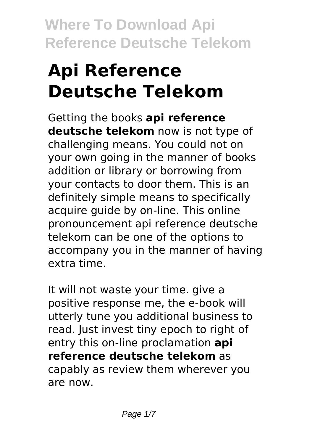# **Api Reference Deutsche Telekom**

Getting the books **api reference deutsche telekom** now is not type of challenging means. You could not on your own going in the manner of books addition or library or borrowing from your contacts to door them. This is an definitely simple means to specifically acquire guide by on-line. This online pronouncement api reference deutsche telekom can be one of the options to accompany you in the manner of having extra time.

It will not waste your time. give a positive response me, the e-book will utterly tune you additional business to read. Just invest tiny epoch to right of entry this on-line proclamation **api reference deutsche telekom** as capably as review them wherever you are now.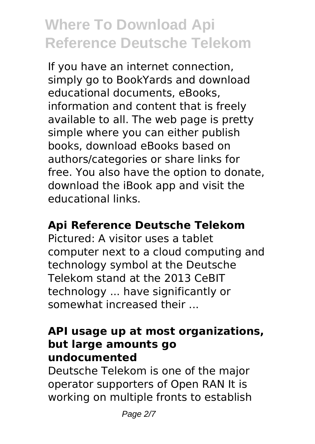If you have an internet connection, simply go to BookYards and download educational documents, eBooks, information and content that is freely available to all. The web page is pretty simple where you can either publish books, download eBooks based on authors/categories or share links for free. You also have the option to donate, download the iBook app and visit the educational links.

### **Api Reference Deutsche Telekom**

Pictured: A visitor uses a tablet computer next to a cloud computing and technology symbol at the Deutsche Telekom stand at the 2013 CeBIT technology ... have significantly or somewhat increased their ...

#### **API usage up at most organizations, but large amounts go undocumented**

Deutsche Telekom is one of the major operator supporters of Open RAN It is working on multiple fronts to establish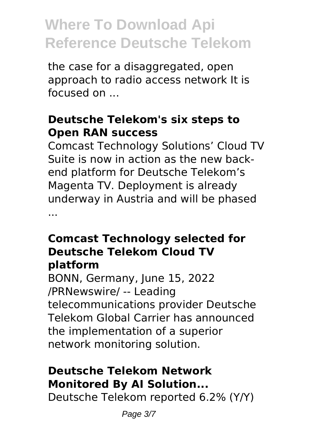the case for a disaggregated, open approach to radio access network It is focused on ...

### **Deutsche Telekom's six steps to Open RAN success**

Comcast Technology Solutions' Cloud TV Suite is now in action as the new backend platform for Deutsche Telekom's Magenta TV. Deployment is already underway in Austria and will be phased ...

#### **Comcast Technology selected for Deutsche Telekom Cloud TV platform**

BONN, Germany, June 15, 2022 /PRNewswire/ -- Leading telecommunications provider Deutsche Telekom Global Carrier has announced the implementation of a superior network monitoring solution.

### **Deutsche Telekom Network Monitored By AI Solution...**

Deutsche Telekom reported 6.2% (Y/Y)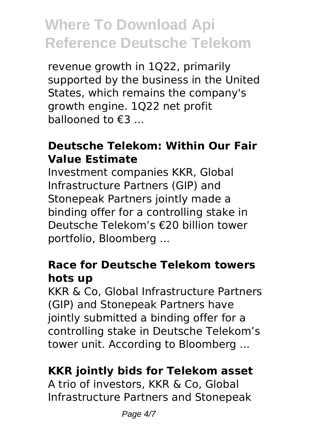revenue growth in 1Q22, primarily supported by the business in the United States, which remains the company's growth engine. 1Q22 net profit ballooned to €3 ...

#### **Deutsche Telekom: Within Our Fair Value Estimate**

Investment companies KKR, Global Infrastructure Partners (GIP) and Stonepeak Partners jointly made a binding offer for a controlling stake in Deutsche Telekom's €20 billion tower portfolio, Bloomberg ...

#### **Race for Deutsche Telekom towers hots up**

KKR & Co, Global Infrastructure Partners (GIP) and Stonepeak Partners have jointly submitted a binding offer for a controlling stake in Deutsche Telekom's tower unit. According to Bloomberg ...

### **KKR jointly bids for Telekom asset**

A trio of investors, KKR & Co, Global Infrastructure Partners and Stonepeak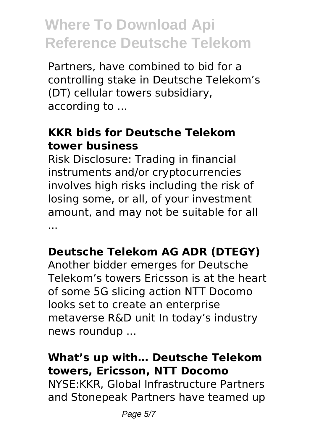Partners, have combined to bid for a controlling stake in Deutsche Telekom's (DT) cellular towers subsidiary, according to ...

### **KKR bids for Deutsche Telekom tower business**

Risk Disclosure: Trading in financial instruments and/or cryptocurrencies involves high risks including the risk of losing some, or all, of your investment amount, and may not be suitable for all ...

### **Deutsche Telekom AG ADR (DTEGY)**

Another bidder emerges for Deutsche Telekom's towers Ericsson is at the heart of some 5G slicing action NTT Docomo looks set to create an enterprise metaverse R&D unit In today's industry news roundup ...

### **What's up with… Deutsche Telekom towers, Ericsson, NTT Docomo**

NYSE:KKR, Global Infrastructure Partners and Stonepeak Partners have teamed up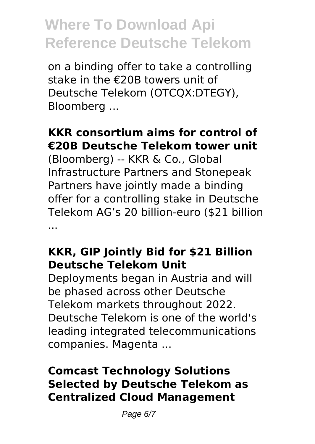on a binding offer to take a controlling stake in the €20B towers unit of Deutsche Telekom (OTCQX:DTEGY), Bloomberg ...

### **KKR consortium aims for control of €20B Deutsche Telekom tower unit**

(Bloomberg) -- KKR & Co., Global Infrastructure Partners and Stonepeak Partners have jointly made a binding offer for a controlling stake in Deutsche Telekom AG's 20 billion-euro (\$21 billion ...

### **KKR, GIP Jointly Bid for \$21 Billion Deutsche Telekom Unit**

Deployments began in Austria and will be phased across other Deutsche Telekom markets throughout 2022. Deutsche Telekom is one of the world's leading integrated telecommunications companies. Magenta ...

### **Comcast Technology Solutions Selected by Deutsche Telekom as Centralized Cloud Management**